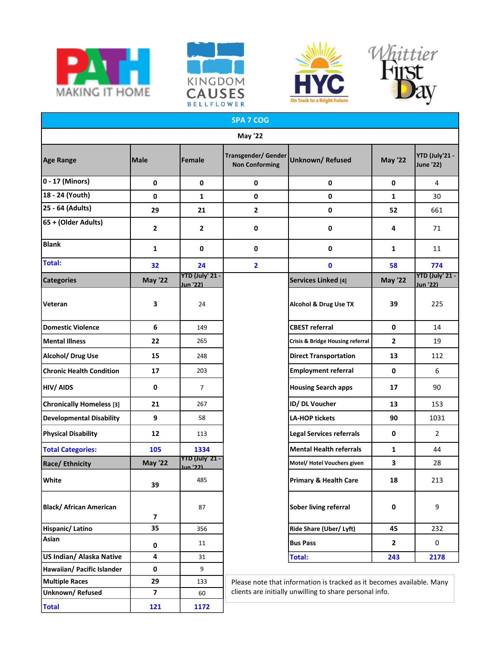







| <b>SPA 7 COG</b>                |                         |                                    |                                                                       |                                                         |                |                                           |  |  |
|---------------------------------|-------------------------|------------------------------------|-----------------------------------------------------------------------|---------------------------------------------------------|----------------|-------------------------------------------|--|--|
| <b>May '22</b>                  |                         |                                    |                                                                       |                                                         |                |                                           |  |  |
| <b>Age Range</b>                | <b>Male</b>             | Female                             | <b>Transgender/ Gender</b><br><b>Non Conforming</b>                   | <b>Unknown/Refused</b>                                  | <b>May '22</b> | YTD (July'21 -<br><b>June '22)</b>        |  |  |
| 0 - 17 (Minors)                 | 0                       | $\mathbf 0$                        | 0                                                                     | $\mathbf 0$                                             | $\mathbf 0$    | $\overline{4}$                            |  |  |
| 18 - 24 (Youth)                 | $\mathbf 0$             | $\mathbf{1}$                       | $\mathbf 0$                                                           | $\mathbf 0$                                             | $\mathbf{1}$   | 30                                        |  |  |
| 25 - 64 (Adults)                | 29                      | 21                                 | $\overline{2}$                                                        | $\mathbf 0$                                             | 52             | 661                                       |  |  |
| 65 + (Older Adults)             | 2                       | 2                                  | 0                                                                     | 0                                                       | 4              | 71                                        |  |  |
| <b>Blank</b>                    | $\mathbf{1}$            | 0                                  | $\mathbf 0$                                                           | 0                                                       | $\mathbf{1}$   | 11                                        |  |  |
| <b>Total:</b>                   | 32                      | 24                                 | $\overline{\mathbf{2}}$                                               | $\mathbf 0$                                             | 58             | 774                                       |  |  |
| <b>Categories</b>               | <b>May '22</b>          | <b>YTD (July' 21 -</b><br>Jun '22) |                                                                       | Services Linked [4]                                     | <b>May '22</b> | <b>YTD (July' 21 -</b><br><b>Jun '22)</b> |  |  |
| <b>Veteran</b>                  | 3                       | 24                                 |                                                                       | <b>Alcohol &amp; Drug Use TX</b>                        | 39             | 225                                       |  |  |
| <b>Domestic Violence</b>        | 6                       | 149                                |                                                                       | <b>CBEST referral</b>                                   | 0              | 14                                        |  |  |
| <b>Mental Illness</b>           | 22                      | 265                                |                                                                       | <b>Crisis &amp; Bridge Housing referral</b>             | $\overline{2}$ | 19                                        |  |  |
| Alcohol/Drug Use                | 15                      | 248                                |                                                                       | <b>Direct Transportation</b>                            | 13             | 112                                       |  |  |
| <b>Chronic Health Condition</b> | 17                      | 203                                |                                                                       | <b>Employment referral</b>                              | 0              | 6                                         |  |  |
| <b>HIV/AIDS</b>                 | 0                       | $\overline{7}$                     |                                                                       | <b>Housing Search apps</b>                              | 17             | 90                                        |  |  |
| <b>Chronically Homeless</b> [3] | 21                      | 267                                |                                                                       | ID/ DL Voucher                                          | 13             | 153                                       |  |  |
| <b>Developmental Disability</b> | 9                       | 58                                 |                                                                       | <b>LA-HOP tickets</b>                                   | 90             | 1031                                      |  |  |
| <b>Physical Disability</b>      | 12                      | 113                                |                                                                       | <b>Legal Services referrals</b>                         | 0              | $\overline{2}$                            |  |  |
| <b>Total Categories:</b>        | 105                     | 1334                               |                                                                       | <b>Mental Health referrals</b>                          | $\mathbf{1}$   | 44                                        |  |  |
| <b>Race/Ethnicity</b>           | <b>May '22</b>          | <b>YTD (July' 21 -</b><br>lun '22) |                                                                       | Motel/ Hotel Vouchers given                             | 3              | 28                                        |  |  |
| White                           | 39                      | 485                                |                                                                       | <b>Primary &amp; Health Care</b>                        | 18             | 213                                       |  |  |
| <b>Black/ African American</b>  | $\overline{\mathbf{z}}$ | 87                                 |                                                                       | <b>Sober living referral</b>                            | 0              | 9                                         |  |  |
| Hispanic/Latino                 | 35                      | 356                                |                                                                       | Ride Share (Uber/ Lyft)                                 | 45             | 232                                       |  |  |
| Asian                           | 0                       | 11                                 |                                                                       | <b>Bus Pass</b>                                         | 2              | 0                                         |  |  |
| <b>US Indian/ Alaska Native</b> | 4                       | 31                                 |                                                                       | <b>Total:</b>                                           | 243            | 2178                                      |  |  |
| Hawaiian/ Pacific Islander      | $\mathbf 0$             | 9                                  |                                                                       |                                                         |                |                                           |  |  |
| <b>Multiple Races</b>           | 29                      | 133                                | Please note that information is tracked as it becomes available. Many |                                                         |                |                                           |  |  |
| Unknown/Refused                 | $\overline{7}$          | 60                                 |                                                                       | clients are initially unwilling to share personal info. |                |                                           |  |  |
| <b>Total</b>                    | 121                     | 1172                               |                                                                       |                                                         |                |                                           |  |  |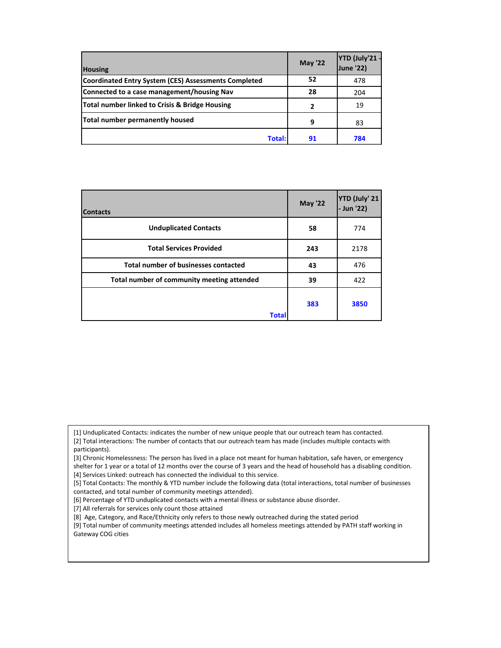| <b>Housing</b>                                       | <b>May '22</b> | YTD (July'21 -<br><b>June '22)</b> |
|------------------------------------------------------|----------------|------------------------------------|
| Coordinated Entry System (CES) Assessments Completed | 52             | 478                                |
| Connected to a case management/housing Nav           | 28             | 204                                |
| Total number linked to Crisis & Bridge Housing       | 2              | 19                                 |
| Total number permanently housed                      | 9              | 83                                 |
| Total:                                               | 91             | 784                                |

| <b>Contacts</b>                             | <b>May '22</b> | YTD (July' 21<br>- Jun '22) |
|---------------------------------------------|----------------|-----------------------------|
| <b>Unduplicated Contacts</b>                | 58             | 774                         |
| <b>Total Services Provided</b>              | 243            | 2178                        |
| <b>Total number of businesses contacted</b> | 43             | 476                         |
| Total number of community meeting attended  | 39             | 422                         |
| <b>Total</b>                                | 383            | 3850                        |

[1] Unduplicated Contacts: indicates the number of new unique people that our outreach team has contacted. [2] Total interactions: The number of contacts that our outreach team has made (includes multiple contacts with participants).

[3] Chronic Homelessness: The person has lived in a place not meant for human habitation, safe haven, or emergency shelter for 1 year or a total of 12 months over the course of 3 years and the head of household has a disabling condition. [4] Services Linked: outreach has connected the individual to this service.

[5] Total Contacts: The monthly & YTD number include the following data (total interactions, total number of businesses contacted, and total number of community meetings attended).

[6] Percentage of YTD unduplicated contacts with a mental illness or substance abuse disorder.

[7] All referrals for services only count those attained

[8] Age, Category, and Race/Ethnicity only refers to those newly outreached during the stated period

[9] Total number of community meetings attended includes all homeless meetings attended by PATH staff working in Gateway COG cities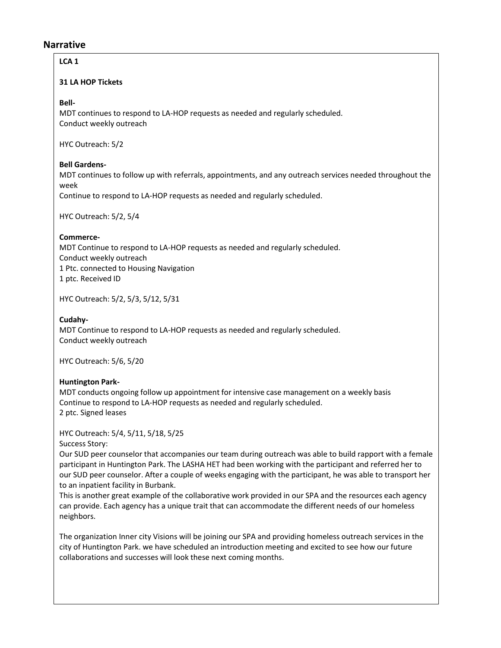# **Narrative**

# **LCA 1**

# **31 LA HOP Tickets**

## **Bell-**

MDT continues to respond to LA-HOP requests as needed and regularly scheduled. Conduct weekly outreach

HYC Outreach: 5/2

# **Bell Gardens-**

MDT continues to follow up with referrals, appointments, and any outreach services needed throughout the week

Continue to respond to LA-HOP requests as needed and regularly scheduled.

HYC Outreach: 5/2, 5/4

## **Commerce-**

MDT Continue to respond to LA-HOP requests as needed and regularly scheduled. Conduct weekly outreach 1 Ptc. connected to Housing Navigation 1 ptc. Received ID

HYC Outreach: 5/2, 5/3, 5/12, 5/31

# **Cudahy-**

MDT Continue to respond to LA-HOP requests as needed and regularly scheduled. Conduct weekly outreach

HYC Outreach: 5/6, 5/20

# **Huntington Park-**

MDT conducts ongoing follow up appointment for intensive case management on a weekly basis Continue to respond to LA-HOP requests as needed and regularly scheduled. 2 ptc. Signed leases

HYC Outreach: 5/4, 5/11, 5/18, 5/25

Success Story:

Our SUD peer counselor that accompanies our team during outreach was able to build rapport with a female participant in Huntington Park. The LASHA HET had been working with the participant and referred her to our SUD peer counselor. After a couple of weeks engaging with the participant, he was able to transport her to an inpatient facility in Burbank.

This is another great example of the collaborative work provided in our SPA and the resources each agency can provide. Each agency has a unique trait that can accommodate the different needs of our homeless neighbors.

The organization Inner city Visions will be joining our SPA and providing homeless outreach services in the city of Huntington Park. we have scheduled an introduction meeting and excited to see how our future collaborations and successes will look these next coming months.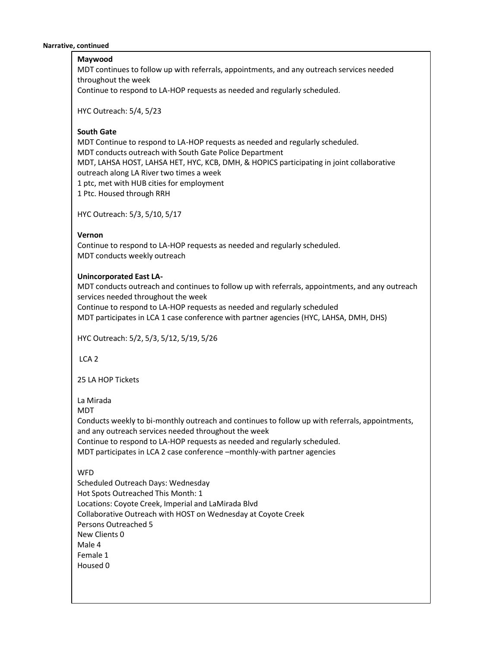### **Maywood**

MDT continues to follow up with referrals, appointments, and any outreach services needed throughout the week

Continue to respond to LA-HOP requests as needed and regularly scheduled.

HYC Outreach: 5/4, 5/23

## **South Gate**

MDT Continue to respond to LA-HOP requests as needed and regularly scheduled. MDT conducts outreach with South Gate Police Department MDT, LAHSA HOST, LAHSA HET, HYC, KCB, DMH, & HOPICS participating in joint collaborative outreach along LA River two times a week 1 ptc, met with HUB cities for employment

1 Ptc. Housed through RRH

HYC Outreach: 5/3, 5/10, 5/17

## **Vernon**

Continue to respond to LA-HOP requests as needed and regularly scheduled. MDT conducts weekly outreach

## **Unincorporated East LA-**

MDT conducts outreach and continues to follow up with referrals, appointments, and any outreach services needed throughout the week

Continue to respond to LA-HOP requests as needed and regularly scheduled

MDT participates in LCA 1 case conference with partner agencies (HYC, LAHSA, DMH, DHS)

HYC Outreach: 5/2, 5/3, 5/12, 5/19, 5/26

LCA 2

25 LA HOP Tickets

La Mirada

MDT

Conducts weekly to bi-monthly outreach and continues to follow up with referrals, appointments, and any outreach services needed throughout the week Continue to respond to LA-HOP requests as needed and regularly scheduled.

MDT participates in LCA 2 case conference –monthly-with partner agencies

# WFD

Scheduled Outreach Days: Wednesday Hot Spots Outreached This Month: 1 Locations: Coyote Creek, Imperial and LaMirada Blvd Collaborative Outreach with HOST on Wednesday at Coyote Creek Persons Outreached 5 New Clients 0 Male 4 Female 1 Housed 0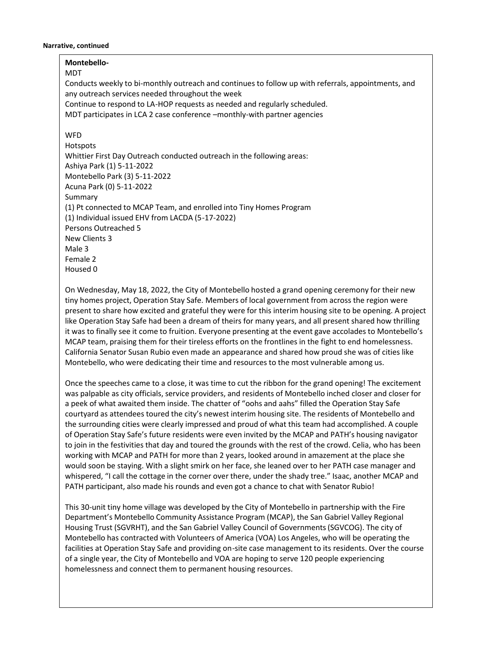### **Montebello-**

#### MDT

Conducts weekly to bi-monthly outreach and continues to follow up with referrals, appointments, and any outreach services needed throughout the week Continue to respond to LA-HOP requests as needed and regularly scheduled.

MDT participates in LCA 2 case conference –monthly-with partner agencies

# WFD

Hotspots Whittier First Day Outreach conducted outreach in the following areas: Ashiya Park (1) 5-11-2022 Montebello Park (3) 5-11-2022 Acuna Park (0) 5-11-2022 Summary (1) Pt connected to MCAP Team, and enrolled into Tiny Homes Program (1) Individual issued EHV from LACDA (5-17-2022) Persons Outreached 5 New Clients 3 Male 3 Female 2 Housed 0

On Wednesday, May 18, 2022, the City of Montebello hosted a grand opening ceremony for their new tiny homes project, Operation Stay Safe. Members of local government from across the region were present to share how excited and grateful they were for this interim housing site to be opening. A project like Operation Stay Safe had been a dream of theirs for many years, and all present shared how thrilling it was to finally see it come to fruition. Everyone presenting at the event gave accolades to Montebello's MCAP team, praising them for their tireless efforts on the frontlines in the fight to end homelessness. California Senator Susan Rubio even made an appearance and shared how proud she was of cities like Montebello, who were dedicating their time and resources to the most vulnerable among us.

Once the speeches came to a close, it was time to cut the ribbon for the grand opening! The excitement was palpable as city officials, service providers, and residents of Montebello inched closer and closer for a peek of what awaited them inside. The chatter of "oohs and aahs" filled the Operation Stay Safe courtyard as attendees toured the city's newest interim housing site. The residents of Montebello and the surrounding cities were clearly impressed and proud of what this team had accomplished. A couple of Operation Stay Safe's future residents were even invited by the MCAP and PATH's housing navigator to join in the festivities that day and toured the grounds with the rest of the crowd. Celia, who has been working with MCAP and PATH for more than 2 years, looked around in amazement at the place she would soon be staying. With a slight smirk on her face, she leaned over to her PATH case manager and whispered, "I call the cottage in the corner over there, under the shady tree." Isaac, another MCAP and PATH participant, also made his rounds and even got a chance to chat with Senator Rubio!

This 30-unit tiny home village was developed by the City of Montebello in partnership with the Fire Department's Montebello Community Assistance Program (MCAP), the San Gabriel Valley Regional Housing Trust (SGVRHT), and the San Gabriel Valley Council of Governments (SGVCOG). The city of Montebello has contracted with Volunteers of America (VOA) Los Angeles, who will be operating the facilities at Operation Stay Safe and providing on-site case management to its residents. Over the course of a single year, the City of Montebello and VOA are hoping to serve 120 people experiencing homelessness and connect them to permanent housing resources.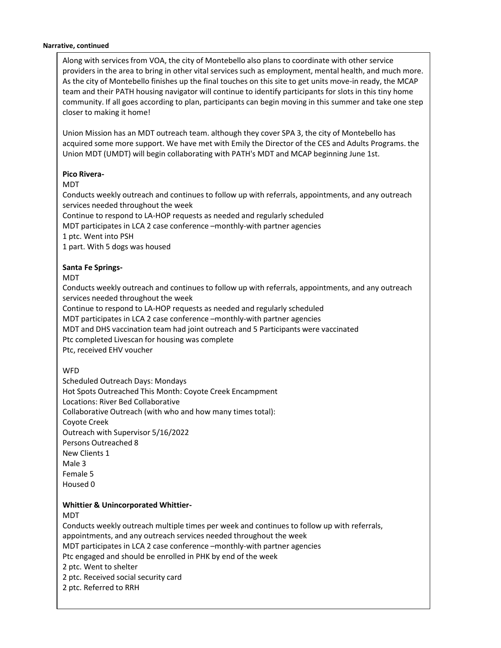Along with services from VOA, the city of Montebello also plans to coordinate with other service providers in the area to bring in other vital services such as employment, mental health, and much more. As the city of Montebello finishes up the final touches on this site to get units move-in ready, the MCAP team and their PATH housing navigator will continue to identify participants for slots in this tiny home community. If all goes according to plan, participants can begin moving in this summer and take one step closer to making it home!

Union Mission has an MDT outreach team. although they cover SPA 3, the city of Montebello has acquired some more support. We have met with Emily the Director of the CES and Adults Programs. the Union MDT (UMDT) will begin collaborating with PATH's MDT and MCAP beginning June 1st.

## **Pico Rivera-**

### MDT

Conducts weekly outreach and continues to follow up with referrals, appointments, and any outreach services needed throughout the week

Continue to respond to LA-HOP requests as needed and regularly scheduled

MDT participates in LCA 2 case conference –monthly-with partner agencies

1 ptc. Went into PSH

1 part. With 5 dogs was housed

## **Santa Fe Springs-**

MDT

Conducts weekly outreach and continues to follow up with referrals, appointments, and any outreach services needed throughout the week

Continue to respond to LA-HOP requests as needed and regularly scheduled

MDT participates in LCA 2 case conference –monthly-with partner agencies

MDT and DHS vaccination team had joint outreach and 5 Participants were vaccinated

Ptc completed Livescan for housing was complete

Ptc, received EHV voucher

## **WFD**

Scheduled Outreach Days: Mondays Hot Spots Outreached This Month: Coyote Creek Encampment Locations: River Bed Collaborative Collaborative Outreach (with who and how many times total): Coyote Creek Outreach with Supervisor 5/16/2022 Persons Outreached 8 New Clients 1 Male 3 Female 5 Housed 0

## **Whittier & Unincorporated Whittier-**

MDT

Conducts weekly outreach multiple times per week and continues to follow up with referrals, appointments, and any outreach services needed throughout the week MDT participates in LCA 2 case conference –monthly-with partner agencies Ptc engaged and should be enrolled in PHK by end of the week 2 ptc. Went to shelter 2 ptc. Received social security card 2 ptc. Referred to RRH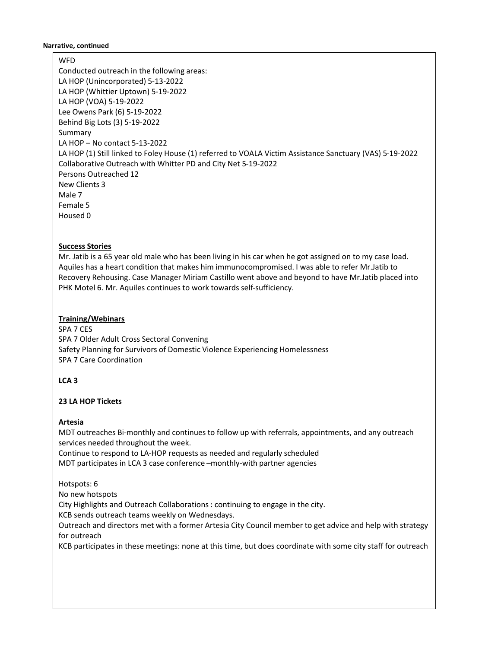**WFD** Conducted outreach in the following areas: LA HOP (Unincorporated) 5-13-2022 LA HOP (Whittier Uptown) 5-19-2022 LA HOP (VOA) 5-19-2022 Lee Owens Park (6) 5-19-2022 Behind Big Lots (3) 5-19-2022 Summary LA HOP – No contact 5-13-2022 LA HOP (1) Still linked to Foley House (1) referred to VOALA Victim Assistance Sanctuary (VAS) 5-19-2022 Collaborative Outreach with Whitter PD and City Net 5-19-2022 Persons Outreached 12 New Clients 3 Male 7 Female 5 Housed 0

## **Success Stories**

Mr. Jatib is a 65 year old male who has been living in his car when he got assigned on to my case load. Aquiles has a heart condition that makes him immunocompromised. I was able to refer Mr.Jatib to Recovery Rehousing. Case Manager Miriam Castillo went above and beyond to have Mr.Jatib placed into PHK Motel 6. Mr. Aquiles continues to work towards self-sufficiency.

## **Training/Webinars**

SPA 7 CES SPA 7 Older Adult Cross Sectoral Convening Safety Planning for Survivors of Domestic Violence Experiencing Homelessness SPA 7 Care Coordination

# **LCA 3**

## **23 LA HOP Tickets**

## **Artesia**

MDT outreaches Bi-monthly and continues to follow up with referrals, appointments, and any outreach services needed throughout the week.

Continue to respond to LA-HOP requests as needed and regularly scheduled MDT participates in LCA 3 case conference –monthly-with partner agencies

Hotspots: 6

No new hotspots

City Highlights and Outreach Collaborations : continuing to engage in the city.

KCB sends outreach teams weekly on Wednesdays.

Outreach and directors met with a former Artesia City Council member to get advice and help with strategy for outreach

KCB participates in these meetings: none at this time, but does coordinate with some city staff for outreach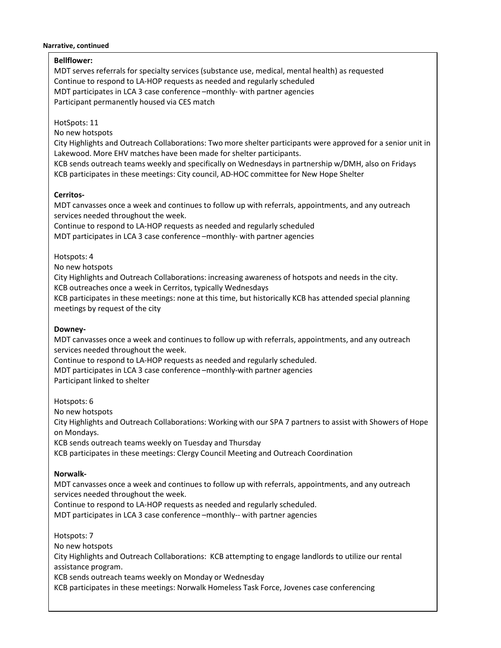### **Bellflower:**

MDT serves referrals for specialty services (substance use, medical, mental health) as requested Continue to respond to LA-HOP requests as needed and regularly scheduled MDT participates in LCA 3 case conference –monthly- with partner agencies Participant permanently housed via CES match

HotSpots: 11

No new hotspots

City Highlights and Outreach Collaborations: Two more shelter participants were approved for a senior unit in Lakewood. More EHV matches have been made for shelter participants.

KCB sends outreach teams weekly and specifically on Wednesdays in partnership w/DMH, also on Fridays KCB participates in these meetings: City council, AD-HOC committee for New Hope Shelter

## **Cerritos-**

MDT canvasses once a week and continues to follow up with referrals, appointments, and any outreach services needed throughout the week.

Continue to respond to LA-HOP requests as needed and regularly scheduled MDT participates in LCA 3 case conference –monthly- with partner agencies

Hotspots: 4

No new hotspots

City Highlights and Outreach Collaborations: increasing awareness of hotspots and needs in the city. KCB outreaches once a week in Cerritos, typically Wednesdays

KCB participates in these meetings: none at this time, but historically KCB has attended special planning meetings by request of the city

## **Downey-**

MDT canvasses once a week and continues to follow up with referrals, appointments, and any outreach services needed throughout the week.

Continue to respond to LA-HOP requests as needed and regularly scheduled.

MDT participates in LCA 3 case conference –monthly-with partner agencies Participant linked to shelter

Hotspots: 6

No new hotspots

City Highlights and Outreach Collaborations: Working with our SPA 7 partners to assist with Showers of Hope on Mondays.

KCB sends outreach teams weekly on Tuesday and Thursday

KCB participates in these meetings: Clergy Council Meeting and Outreach Coordination

## **Norwalk-**

MDT canvasses once a week and continues to follow up with referrals, appointments, and any outreach services needed throughout the week.

Continue to respond to LA-HOP requests as needed and regularly scheduled.

MDT participates in LCA 3 case conference –monthly-- with partner agencies

Hotspots: 7 No new hotspots City Highlights and Outreach Collaborations: KCB attempting to engage landlords to utilize our rental assistance program. KCB sends outreach teams weekly on Monday or Wednesday

KCB participates in these meetings: Norwalk Homeless Task Force, Jovenes case conferencing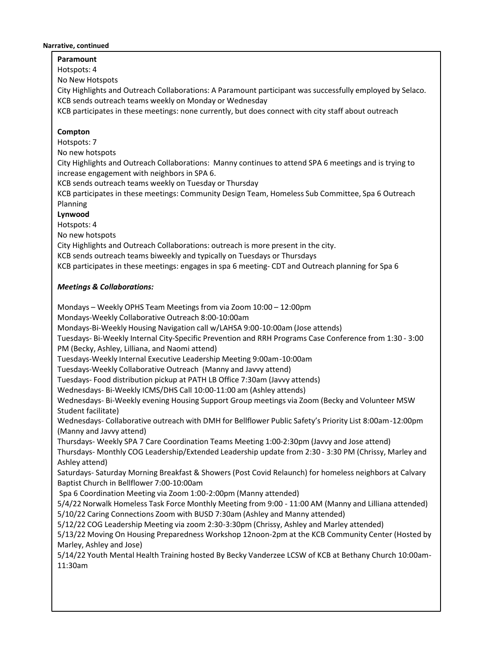**Paramount** Hotspots: 4 No New Hotspots City Highlights and Outreach Collaborations: A Paramount participant was successfully employed by Selaco. KCB sends outreach teams weekly on Monday or Wednesday KCB participates in these meetings: none currently, but does connect with city staff about outreach **Compton**  Hotspots: 7 No new hotspots City Highlights and Outreach Collaborations: Manny continues to attend SPA 6 meetings and is trying to increase engagement with neighbors in SPA 6. KCB sends outreach teams weekly on Tuesday or Thursday KCB participates in these meetings: Community Design Team, Homeless Sub Committee, Spa 6 Outreach Planning **Lynwood** Hotspots: 4 No new hotspots City Highlights and Outreach Collaborations: outreach is more present in the city. KCB sends outreach teams biweekly and typically on Tuesdays or Thursdays KCB participates in these meetings: engages in spa 6 meeting- CDT and Outreach planning for Spa 6

## *Meetings & Collaborations:*

Mondays – Weekly OPHS Team Meetings from via Zoom 10:00 – 12:00pm Mondays-Weekly Collaborative Outreach 8:00-10:00am Mondays-Bi-Weekly Housing Navigation call w/LAHSA 9:00-10:00am (Jose attends) Tuesdays- Bi-Weekly Internal City-Specific Prevention and RRH Programs Case Conference from 1:30 - 3:00 PM (Becky, Ashley, Lilliana, and Naomi attend) Tuesdays-Weekly Internal Executive Leadership Meeting 9:00am-10:00am Tuesdays-Weekly Collaborative Outreach (Manny and Javvy attend) Tuesdays- Food distribution pickup at PATH LB Office 7:30am (Javvy attends) Wednesdays- Bi-Weekly ICMS/DHS Call 10:00-11:00 am (Ashley attends) Wednesdays- Bi-Weekly evening Housing Support Group meetings via Zoom (Becky and Volunteer MSW Student facilitate) Wednesdays- Collaborative outreach with DMH for Bellflower Public Safety's Priority List 8:00am-12:00pm (Manny and Javvy attend) Thursdays- Weekly SPA 7 Care Coordination Teams Meeting 1:00-2:30pm (Javvy and Jose attend) Thursdays- Monthly COG Leadership/Extended Leadership update from 2:30 - 3:30 PM (Chrissy, Marley and Ashley attend) Saturdays- Saturday Morning Breakfast & Showers (Post Covid Relaunch) for homeless neighbors at Calvary Baptist Church in Bellflower 7:00-10:00am Spa 6 Coordination Meeting via Zoom 1:00-2:00pm (Manny attended) 5/4/22 Norwalk Homeless Task Force Monthly Meeting from 9:00 - 11:00 AM (Manny and Lilliana attended) 5/10/22 Caring Connections Zoom with BUSD 7:30am (Ashley and Manny attended) 5/12/22 COG Leadership Meeting via zoom 2:30-3:30pm (Chrissy, Ashley and Marley attended) 5/13/22 Moving On Housing Preparedness Workshop 12noon-2pm at the KCB Community Center (Hosted by Marley, Ashley and Jose) 5/14/22 Youth Mental Health Training hosted By Becky Vanderzee LCSW of KCB at Bethany Church 10:00am-11:30am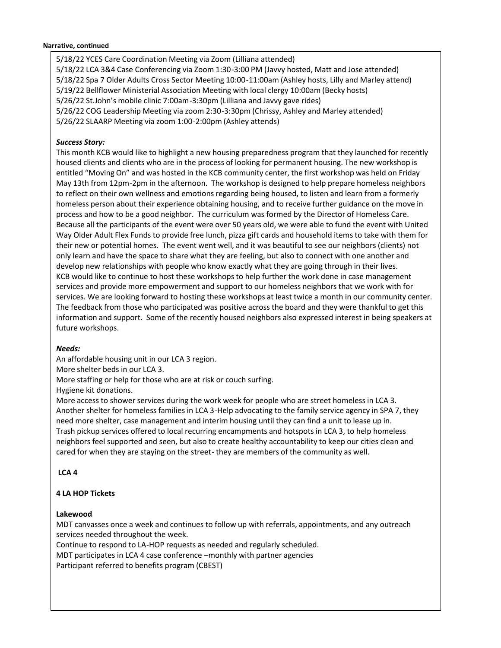5/18/22 YCES Care Coordination Meeting via Zoom (Lilliana attended) 5/18/22 LCA 3&4 Case Conferencing via Zoom 1:30-3:00 PM (Javvy hosted, Matt and Jose attended) 5/18/22 Spa 7 Older Adults Cross Sector Meeting 10:00-11:00am (Ashley hosts, Lilly and Marley attend) 5/19/22 Bellflower Ministerial Association Meeting with local clergy 10:00am (Becky hosts) 5/26/22 St.John's mobile clinic 7:00am-3:30pm (Lilliana and Javvy gave rides) 5/26/22 COG Leadership Meeting via zoom 2:30-3:30pm (Chrissy, Ashley and Marley attended) 5/26/22 SLAARP Meeting via zoom 1:00-2:00pm (Ashley attends)

## *Success Story:*

This month KCB would like to highlight a new housing preparedness program that they launched for recently housed clients and clients who are in the process of looking for permanent housing. The new workshop is entitled "Moving On" and was hosted in the KCB community center, the first workshop was held on Friday May 13th from 12pm-2pm in the afternoon. The workshop is designed to help prepare homeless neighbors to reflect on their own wellness and emotions regarding being housed, to listen and learn from a formerly homeless person about their experience obtaining housing, and to receive further guidance on the move in process and how to be a good neighbor. The curriculum was formed by the Director of Homeless Care. Because all the participants of the event were over 50 years old, we were able to fund the event with United Way Older Adult Flex Funds to provide free lunch, pizza gift cards and household items to take with them for their new or potential homes. The event went well, and it was beautiful to see our neighbors (clients) not only learn and have the space to share what they are feeling, but also to connect with one another and develop new relationships with people who know exactly what they are going through in their lives. KCB would like to continue to host these workshops to help further the work done in case management services and provide more empowerment and support to our homeless neighbors that we work with for services. We are looking forward to hosting these workshops at least twice a month in our community center. The feedback from those who participated was positive across the board and they were thankful to get this information and support. Some of the recently housed neighbors also expressed interest in being speakers at future workshops.

## *Needs:*

An affordable housing unit in our LCA 3 region. More shelter beds in our LCA 3.

More staffing or help for those who are at risk or couch surfing.

Hygiene kit donations.

More access to shower services during the work week for people who are street homeless in LCA 3. Another shelter for homeless families in LCA 3-Help advocating to the family service agency in SPA 7, they need more shelter, case management and interim housing until they can find a unit to lease up in. Trash pickup services offered to local recurring encampments and hotspots in LCA 3, to help homeless neighbors feel supported and seen, but also to create healthy accountability to keep our cities clean and cared for when they are staying on the street- they are members of the community as well.

# **LCA 4**

## **4 LA HOP Tickets**

## **Lakewood**

MDT canvasses once a week and continues to follow up with referrals, appointments, and any outreach services needed throughout the week.

Continue to respond to LA-HOP requests as needed and regularly scheduled. MDT participates in LCA 4 case conference –monthly with partner agencies Participant referred to benefits program (CBEST)